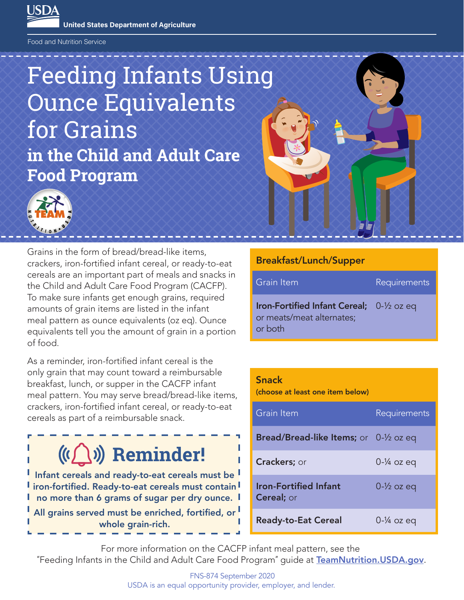**United States Department of Agriculture**

Food and Nutrition Service

LISD4

# **in the Child and Adult Care Food Program** Feeding Infants Using Ounce Equivalents for Grains



Grains in the form of bread/bread-like items, crackers, iron-fortified infant cereal, or ready-to-eat cereals are an important part of meals and snacks in the Child and Adult Care Food Program (CACFP). To make sure infants get enough grains, required amounts of grain items are listed in the infant meal pattern as ounce equivalents (oz eq). Ounce equivalents tell you the amount of grain in a portion of food.

As a reminder, iron-fortified infant cereal is the only grain that may count toward a reimbursable breakfast, lunch, or supper in the CACFP infant meal pattern. You may serve bread/bread-like items, crackers, iron-fortified infant cereal, or ready-to-eat cereals as part of a reimbursable snack.

# **Reminder!**

Infant cereals and ready-to-eat cereals must be I iron-fortified. Ready-to-eat cereals must contain I no more than 6 grams of sugar per dry ounce.

All grains served must be enriched, fortified, or whole grain-rich.

#### Breakfast/Lunch/Supper

| Grain Item                                                                        | Requirements |
|-----------------------------------------------------------------------------------|--------------|
| Iron-Fortified Infant Cereal; 0-1/2 oz eq<br>or meats/meat alternates;<br>or both |              |

#### Snack

(choose at least one item below)

| Grain Item                                              | Requirements            |
|---------------------------------------------------------|-------------------------|
| <b>Bread/Bread-like Items;</b> or $0-\frac{1}{2}$ oz eq |                         |
| Crackers; or                                            | $0 - \frac{1}{4}$ oz eq |
| <b>Iron-Fortified Infant</b><br><b>Cereal</b> ; or      | $0 - \frac{1}{2}$ oz eq |
| <b>Ready-to-Eat Cereal</b>                              | $0 - \frac{1}{4}$ oz eq |

For more information on the CACFP infant meal pattern, see the "Feeding Infants in the Child and Adult Care Food Program" guide at [TeamNutrition.USDA.gov](https://www.fns.usda.gov/tn).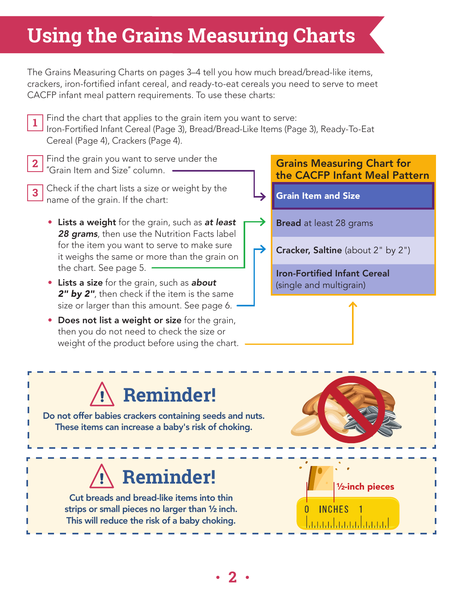# **Using the Grains Measuring Charts**

The Grains Measuring Charts on pages 3–4 tell you how much bread/bread-like items, crackers, iron-fortified infant cereal, and ready-to-eat cereals you need to serve to meet CACFP infant meal pattern requirements. To use these charts:

- Find the chart that applies to the grain item you want to serve: Iron-Fortified Infant Cereal (Page 3), Bread/Bread-Like Items (Page 3), Ready-To-Eat Cereal (Page 4), Crackers (Page 4). **1**
- Find the grain you want to serve under the "Grain Item and Size" column. **2**
- Check if the chart lists a size or weight by the name of the grain. If the chart: **3**
	- Lists a weight for the grain, such as *at least 28 grams*, then use the Nutrition Facts label for the item you want to serve to make sure it weighs the same or more than the grain on the chart. See page 5.
	- Lists a size for the grain, such as *about 2" by 2"*, then check if the item is the same size or larger than this amount. See page 6.
	- Does not list a weight or size for the grain, then you do not need to check the size or weight of the product before using the chart.

### Grains Measuring Chart for the CACFP Infant Meal Pattern

Grain Item and Size

→

- **Bread** at least 28 grams
- Cracker, Saltine (about 2" by 2")

Iron-Fortified Infant Cereal (single and multigrain)

# **Reminder!**

Do not offer babies crackers containing seeds and nuts. These items can increase a baby's risk of choking.

Cut breads and bread-like items into thin strips or small pieces no larger than ½ inch. This will reduce the risk of a baby choking.

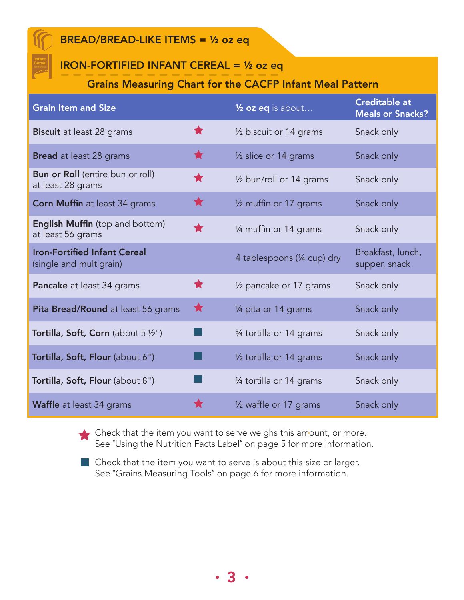### BREAD/BREAD-LIKE ITEMS = ½ oz eq

# IRON-FORTIFIED INFANT CEREAL = ½ oz eq

#### Grains Measuring Chart for the CACFP Infant Meal Pattern

| <b>Grain Item and Size</b>                                     |            | $\frac{1}{2}$ oz eq is about    | <b>Creditable at</b><br><b>Meals or Snacks?</b> |
|----------------------------------------------------------------|------------|---------------------------------|-------------------------------------------------|
| <b>Biscuit</b> at least 28 grams                               | ★          | 1/2 biscuit or 14 grams         | Snack only                                      |
| <b>Bread</b> at least 28 grams                                 | $\bigstar$ | $\frac{1}{2}$ slice or 14 grams | Snack only                                      |
| <b>Bun or Roll</b> (entire bun or roll)<br>at least 28 grams   | ★          | 1/2 bun/roll or 14 grams        | Snack only                                      |
| <b>Corn Muffin at least 34 grams</b>                           | $\bigstar$ | 1/2 muffin or 17 grams          | Snack only                                      |
| <b>English Muffin</b> (top and bottom)<br>at least 56 grams    | ╈          | 1/4 muffin or 14 grams          | Snack only                                      |
| <b>Iron-Fortified Infant Cereal</b><br>(single and multigrain) |            | 4 tablespoons (1/4 cup) dry     | Breakfast, lunch,<br>supper, snack              |
| Pancake at least 34 grams                                      | ★          | 1/2 pancake or 17 grams         | Snack only                                      |
| Pita Bread/Round at least 56 grams                             | ★          | 1/4 pita or 14 grams            | Snack only                                      |
| <b>Tortilla, Soft, Corn</b> (about $5\frac{1}{2}$ ")           |            | 3⁄4 tortilla or 14 grams        | Snack only                                      |
| Tortilla, Soft, Flour (about 6")                               |            | 1/2 tortilla or 14 grams        | Snack only                                      |
| Tortilla, Soft, Flour (about 8")                               |            | 1⁄4 tortilla or 14 grams        | Snack only                                      |
| <b>Waffle</b> at least 34 grams                                |            | 1/2 waffle or 17 grams          | Snack only                                      |

Check that the item you want to serve weighs this amount, or more. See "Using the Nutrition Facts Label" on page 5 for more information.

**3** 

**Check that the item you want to serve is about this size or larger.** See "Grains Measuring Tools" on page 6 for more information.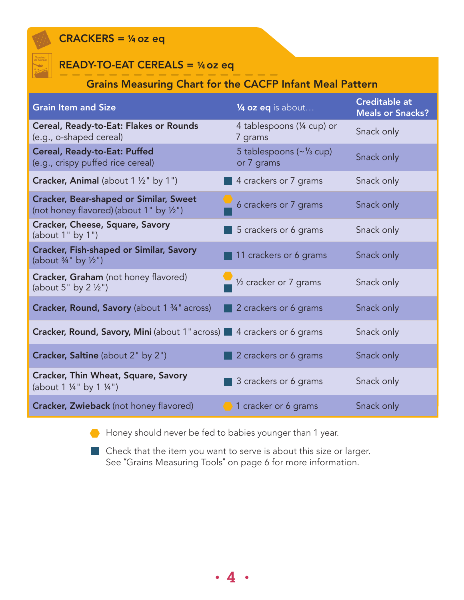### $CRACKERS =  $\frac{1}{4}$  oz eq$



### $READV-TO-EAT CEREALS =  $\frac{1}{4}$  oz eq$

# Grains Measuring Chart for the CACFP Infant Meal Pattern

| <b>Grain Item and Size</b>                                                               | $\frac{1}{4}$ oz eq is about                         | <b>Creditable at</b><br><b>Meals or Snacks?</b> |
|------------------------------------------------------------------------------------------|------------------------------------------------------|-------------------------------------------------|
| Cereal, Ready-to-Eat: Flakes or Rounds<br>(e.g., o-shaped cereal)                        | 4 tablespoons (1/4 cup) or<br>7 grams                | Snack only                                      |
| Cereal, Ready-to-Eat: Puffed<br>(e.g., crispy puffed rice cereal)                        | 5 tablespoons $(\sim \frac{1}{3}$ cup)<br>or 7 grams | Snack only                                      |
| <b>Cracker, Animal</b> (about $1 \frac{1}{2}$ by $1$ ")                                  | 4 crackers or 7 grams                                | Snack only                                      |
| <b>Cracker, Bear-shaped or Similar, Sweet</b><br>(not honey flavored) (about 1" by 1/2") | 6 crackers or 7 grams                                | Snack only                                      |
| Cracker, Cheese, Square, Savory<br>(about $1"$ by $1")$                                  | 5 crackers or 6 grams                                | Snack only                                      |
| <b>Cracker, Fish-shaped or Similar, Savory</b><br>(about 3/4" by 1/2")                   | 11 crackers or 6 grams                               | Snack only                                      |
| Cracker, Graham (not honey flavored)<br>(about $5"$ by $2\frac{1}{2}"$ )                 | $\frac{1}{2}$ % cracker or 7 grams                   | Snack only                                      |
| <b>Cracker, Round, Savory</b> (about 1 3/4" across)                                      | 2 crackers or 6 grams                                | Snack only                                      |
| <b>Cracker, Round, Savory, Mini</b> (about 1" across) 4 crackers or 6 grams              |                                                      | Snack only                                      |
| Cracker, Saltine (about 2" by 2")                                                        | 2 crackers or 6 grams                                | Snack only                                      |
| Cracker, Thin Wheat, Square, Savory<br>(about $1\frac{1}{4}$ " by $1\frac{1}{4}$ ")      | 3 crackers or 6 grams                                | Snack only                                      |
| <b>Cracker, Zwieback</b> (not honey flavored)                                            | 1 cracker or 6 grams                                 | Snack only                                      |

Honey should never be fed to babies younger than 1 year.  $\bullet$ 

Check that the item you want to serve is about this size or larger. ٠. See "Grains Measuring Tools" on page 6 for more information.

**4**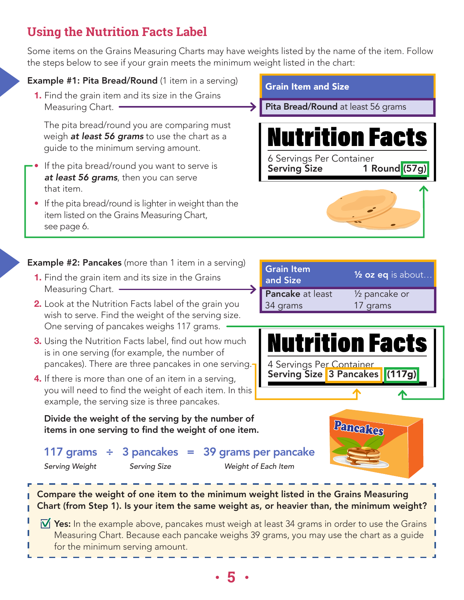# **Using the Nutrition Facts Label**

Some items on the Grains Measuring Charts may have weights listed by the name of the item. Follow the steps below to see if your grain meets the minimum weight listed in the chart:

#### **Example #1: Pita Bread/Round** (1 item in a serving)

**1.** Find the grain item and its size in the Grains Measuring Chart. •

 The pita bread/round you are comparing must weigh *at least 56 grams* to use the chart as a guide to the minimum serving amount.

- If the pita bread/round you want to serve is *at least 56 grams*, then you can serve that item.
- If the pita bread/round is lighter in weight than the item listed on the Grains Measuring Chart, see page 6.

**Example #2: Pancakes** (more than 1 item in a serving)

- **1.** Find the grain item and its size in the Grains Measuring Chart.
- **2.** Look at the Nutrition Facts label of the grain you wish to serve. Find the weight of the serving size. One serving of pancakes weighs 117 grams.
- **3.** Using the Nutrition Facts label, find out how much is in one serving (for example, the number of pancakes). There are three pancakes in one serving.
- **4.** If there is more than one of an item in a serving, you will need to find the weight of each item. In this example, the serving size is three pancakes.

Divide the weight of the serving by the number of items in one serving to find the weight of one item.

117 grams  $\div$  3 pancakes = 39 grams per pancake *Serving Weight Serving Size Weight of Each Item*

Compare the weight of one item to the minimum weight listed in the Grains Measuring Chart (from Step 1). Is your item the same weight as, or heavier than, the minimum weight?

 $\overline{V}$  Yes: In the example above, pancakes must weigh at least 34 grams in order to use the Grains Measuring Chart. Because each pancake weighs 39 grams, you may use the chart as a guide for the minimum serving amount.

Grain Item and Size

Pita Bread/Round at least 56 grams



| <b>Grain Item</b><br>and Size | $\frac{1}{2}$ oz eq is about |
|-------------------------------|------------------------------|
| Pancake at least              | 1/ <sub>2</sub> pancake or   |
| 34 grams                      | 17 grams                     |